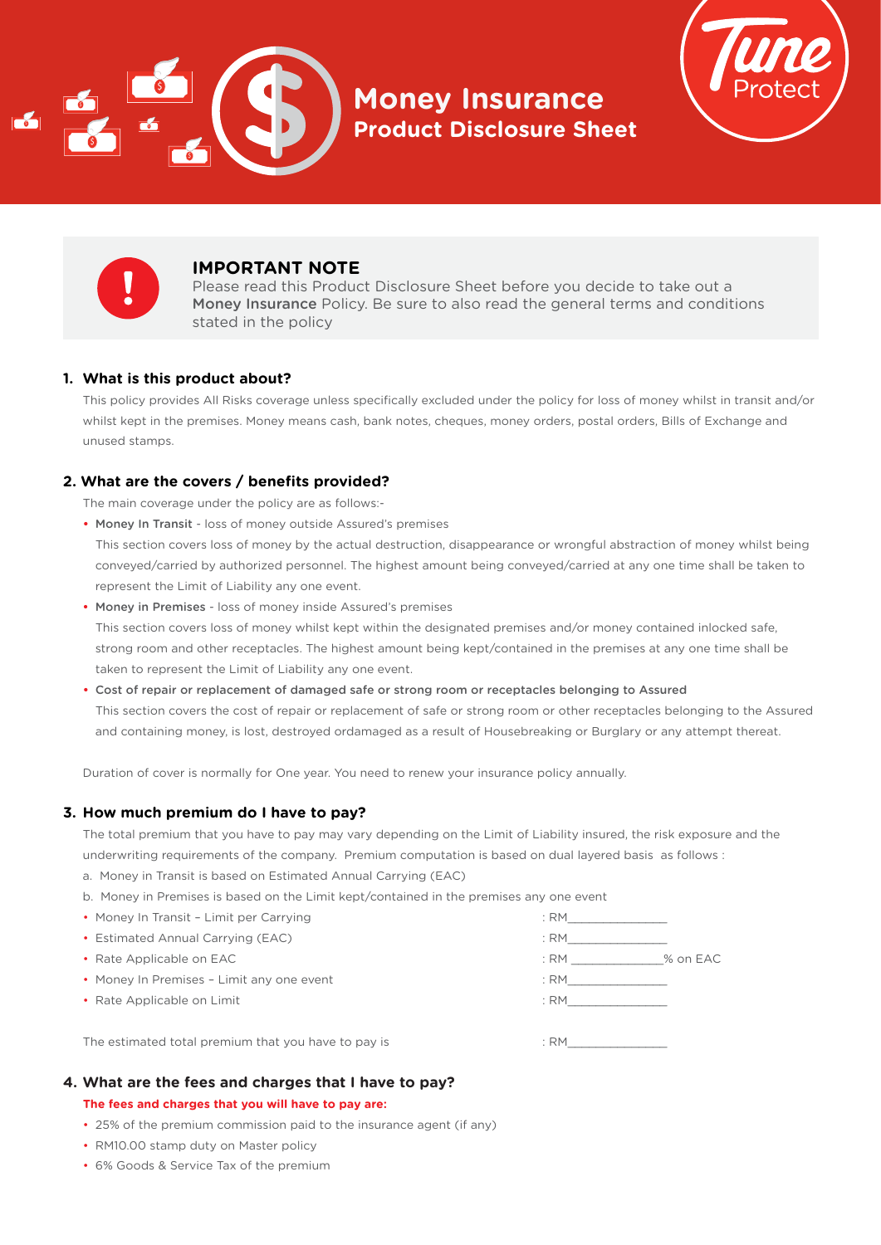

**Money Insurance Product Disclosure Sheet**





# **IMPORTANT NOTE**

Please read this Product Disclosure Sheet before you decide to take out a Money Insurance Policy. Be sure to also read the general terms and conditions stated in the policy

## **1. What is this product about?**

 This policy provides All Risks coverage unless specifically excluded under the policy for loss of money whilst in transit and/or whilst kept in the premises. Money means cash, bank notes, cheques, money orders, postal orders, Bills of Exchange and unused stamps.

## **2. What are the covers / benefits provided?**

The main coverage under the policy are as follows:-

**•** Money In Transit - loss of money outside Assured's premises

This section covers loss of money by the actual destruction, disappearance or wrongful abstraction of money whilst being conveyed/carried by authorized personnel. The highest amount being conveyed/carried at any one time shall be taken to represent the Limit of Liability any one event.

 **•** Money in Premises - loss of money inside Assured's premises

 This section covers loss of money whilst kept within the designated premises and/or money contained inlocked safe, strong room and other receptacles. The highest amount being kept/contained in the premises at any one time shall be taken to represent the Limit of Liability any one event.

**•** Cost of repair or replacement of damaged safe or strong room or receptacles belonging to Assured This section covers the cost of repair or replacement of safe or strong room or other receptacles belonging to the Assured and containing money, is lost, destroyed ordamaged as a result of Housebreaking or Burglary or any attempt thereat.

Duration of cover is normally for One year. You need to renew your insurance policy annually.

## **3. How much premium do I have to pay?**

 The total premium that you have to pay may vary depending on the Limit of Liability insured, the risk exposure and the underwriting requirements of the company. Premium computation is based on dual layered basis as follows :

- a. Money in Transit is based on Estimated Annual Carrying (EAC)
- b. Money in Premises is based on the Limit kept/contained in the premises any one event
- Money In Transit Limit per Carrying in the same state of the state of the state of the state of the state of the state of the state of the state of the state of the state of the state of the state of the state of the s
- Estimated Annual Carrying (EAC) : RM\_\_\_\_\_\_\_\_\_\_\_\_\_\_
- 
- Money In Premises Limit any one event in the same state of the state of the state of the state of the state of the state of the state of the state of the state of the state of the state of the state of the state of the
- Rate Applicable on Limit : RM

• Rate Applicable on EAC  $\overline{\phantom{a}}$  and  $\overline{\phantom{a}}$  and  $\overline{\phantom{a}}$  are  $\overline{\phantom{a}}$  and  $\overline{\phantom{a}}$  and  $\overline{\phantom{a}}$  are  $\overline{\phantom{a}}$  and  $\overline{\phantom{a}}$  and  $\overline{\phantom{a}}$  are  $\overline{\phantom{a}}$  and  $\overline{\phantom{a}}$  and  $\overline{\phantom{a}}$  are  $\overline{\$ 

The estimated total premium that you have to pay is  $\cdot$  . RM

## **4. What are the fees and charges that I have to pay?**

#### **The fees and charges that you will have to pay are:**

- 25% of the premium commission paid to the insurance agent (if any)
- RM10.00 stamp duty on Master policy
- 6% Goods & Service Tax of the premium